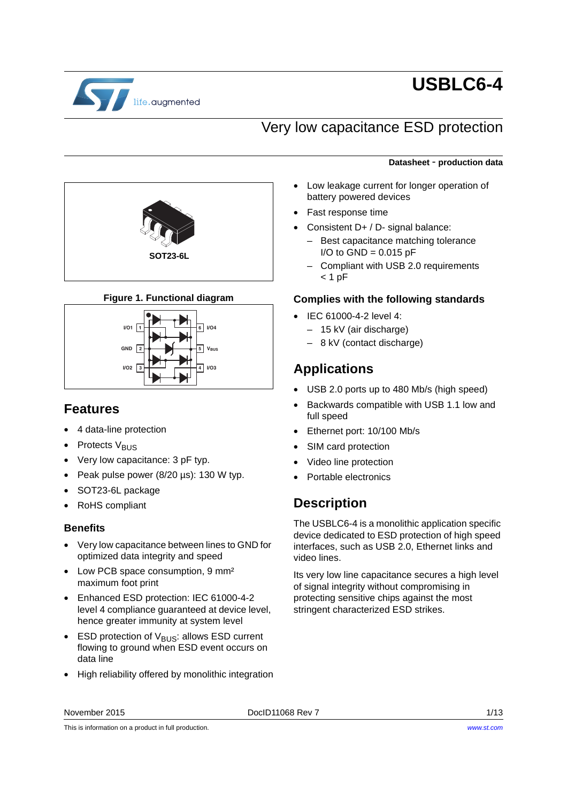

# **USBLC6-4**

## Very low capacitance ESD protection



- Low leakage current for longer operation of battery powered devices
- Fast response time
- Consistent D+ / D- signal balance:
	- Best capacitance matching tolerance  $I/O$  to  $GND = 0.015$  pF
	- Compliant with USB 2.0 requirements  $< 1$  pF

#### **Complies with the following standards**

- IEC 61000-4-2 level 4:
	- 15 kV (air discharge)
	- 8 kV (contact discharge)

### **Applications**

- USB 2.0 ports up to 480 Mb/s (high speed)
- Backwards compatible with USB 1.1 low and full speed
- Ethernet port: 10/100 Mb/s
- SIM card protection
- Video line protection
- Portable electronics

### **Description**

The USBLC6-4 is a monolithic application specific device dedicated to ESD protection of high speed interfaces, such as USB 2.0, Ethernet links and video lines.

Its very low line capacitance secures a high level of signal integrity without compromising in protecting sensitive chips against the most stringent characterized ESD strikes.



### **Figure 1. Functional diagram**



### **Features**

- 4 data-line protection
- Protects V<sub>BUS</sub>
- Very low capacitance: 3 pF typ.
- Peak pulse power (8/20 µs): 130 W typ.
- SOT23-6L package
- RoHS compliant

### **Benefits**

- Very low capacitance between lines to GND for optimized data integrity and speed
- Low PCB space consumption, 9 mm<sup>2</sup> maximum foot print
- Enhanced ESD protection: IEC 61000-4-2 level 4 compliance guaranteed at device level, hence greater immunity at system level
- ESD protection of  $V_{\text{BUS}}$ : allows ESD current flowing to ground when ESD event occurs on data line
- High reliability offered by monolithic integration

This is information on a product in full production.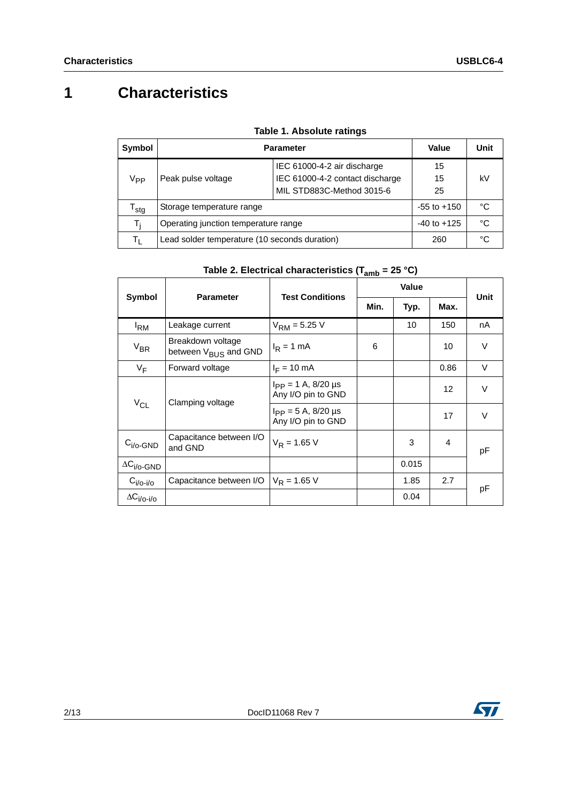## **1 Characteristics**

| Symbol                      | <b>Parameter</b>                              | Value                           | Unit            |    |  |
|-----------------------------|-----------------------------------------------|---------------------------------|-----------------|----|--|
|                             |                                               | IEC 61000-4-2 air discharge     | 15              |    |  |
| V <sub>PP</sub>             | Peak pulse voltage                            | IEC 61000-4-2 contact discharge | kV<br>15        |    |  |
|                             |                                               | MIL STD883C-Method 3015-6       | 25              |    |  |
| $\mathsf{T}_{\mathsf{stg}}$ | Storage temperature range                     |                                 | $-55$ to $+150$ | °C |  |
| T,                          | Operating junction temperature range          |                                 | $-40$ to $+125$ | °C |  |
| $T_{\parallel}$             | Lead solder temperature (10 seconds duration) |                                 | 260             | °C |  |

|  |  | <b>Table 1. Absolute ratings</b> |  |
|--|--|----------------------------------|--|
|--|--|----------------------------------|--|

<span id="page-1-0"></span>

|                             |                                                       |                                                   | ann  | <b>Value</b> |      |      |  |
|-----------------------------|-------------------------------------------------------|---------------------------------------------------|------|--------------|------|------|--|
| Symbol                      | <b>Parameter</b>                                      | <b>Test Conditions</b>                            | Min. | Typ.         | Max. | Unit |  |
| <sup>I</sup> RM             | Leakage current                                       | $V_{\text{RM}} = 5.25$ V                          |      | 10           | 150  | nA   |  |
| $V_{BR}$                    | Breakdown voltage<br>between V <sub>BUS</sub> and GND | $I_R = 1$ mA                                      | 6    |              | 10   | V    |  |
| $V_F$                       | Forward voltage                                       | $I_F = 10$ mA                                     |      |              | 0.86 | V    |  |
| $V_{CL}$                    | Clamping voltage                                      | $I_{\rm PP}$ = 1 A, 8/20 µs<br>Any I/O pin to GND |      |              | 12   | V    |  |
|                             |                                                       | $I_{\rm PP} = 5$ A, 8/20 µs<br>Any I/O pin to GND |      |              | 17   | V    |  |
| $C_{i/O}\text{-GND}$        | Capacitance between I/O<br>and GND                    | $V_R = 1.65 V$                                    |      | 3            | 4    | pF   |  |
| $\Delta C_{\text{i/O-GND}}$ |                                                       |                                                   |      | 0.015        |      |      |  |
| $C_{i/O-i/O}$               | Capacitance between I/O                               | $V_R = 1.65 V$                                    |      | 1.85         | 2.7  | pF   |  |
| $\Delta C_{i/O-i/O}$        |                                                       |                                                   |      | 0.04         |      |      |  |

### **Table 2. Electrical characteristics (Tamb = 25 °C)**

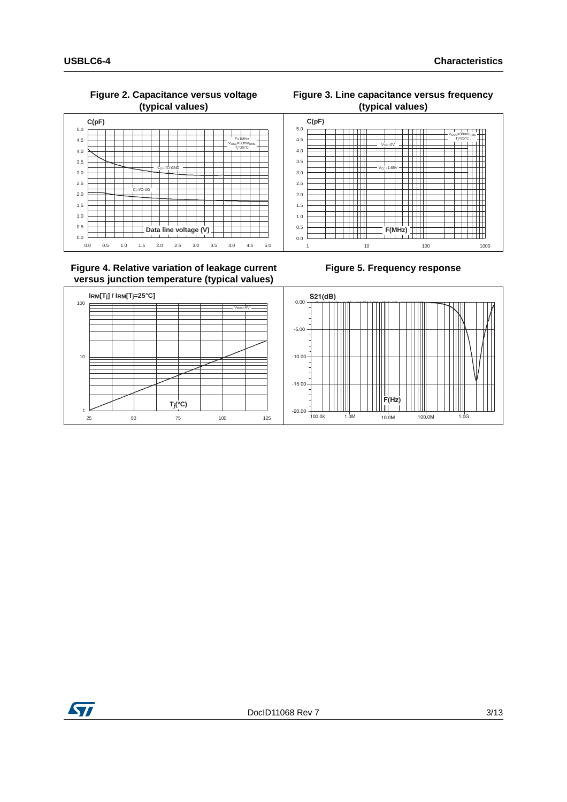V<sub>OSC</sub>=30mV  $T_{\parallel} = 25^{\circ}C$ osc=∂∪m∨<sub>RMS</sub>

#### **Figure 2. Capacitance versus voltage (typical values)**



 $V_{CC}=1.65V$ 

 $V_{CC}=0V$ 



#### **Figure 4. Relative variation of leakage current versus junction temperature (typical values)**

#### **Figure 5. Frequency response**

<span id="page-2-0"></span>1 10 100 1000

**F(MHz)**

- H-H-H



0.0 0.5 1.0 1.5 2.0 2.5 3.0 3.5 4.0 4.5 5.0 **C(pF)**

 $\Box$ Ŧ Ħ

Ŧ ┯

 $\overline{\phantom{a}}$ 

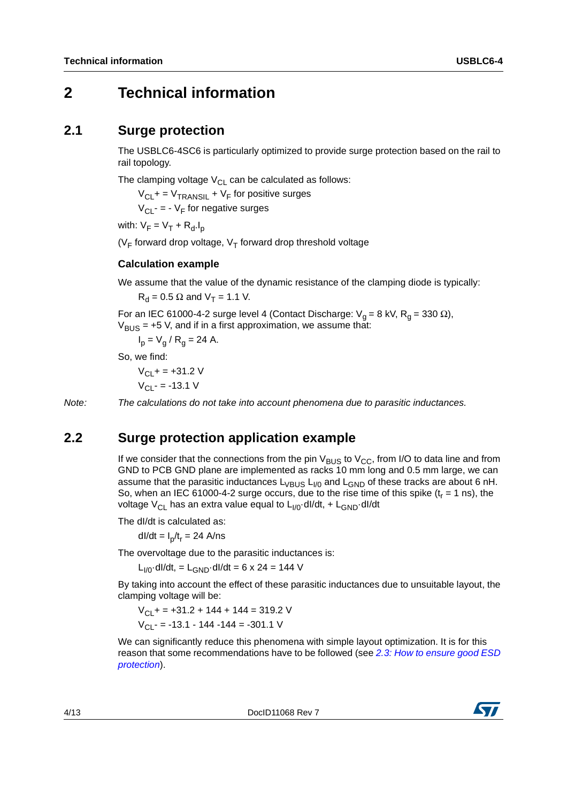### **2 Technical information**

### **2.1 Surge protection**

The USBLC6-4SC6 is particularly optimized to provide surge protection based on the rail to rail topology.

The clamping voltage  $V_{CL}$  can be calculated as follows:

 $V_{\text{CI}}$  + =  $V_{\text{TRANSII}}$  +  $V_{\text{F}}$  for positive surges

 $V_{\text{Cl}}$  - = -  $V_{\text{F}}$  for negative surges

with:  $V_F = V_T + R_d.I_p$ 

( $V_F$  forward drop voltage,  $V_T$  forward drop threshold voltage

#### **Calculation example**

We assume that the value of the dynamic resistance of the clamping diode is typically:

 $R_d = 0.5 \Omega$  and  $V_T = 1.1 V$ .

For an IEC 61000-4-2 surge level 4 (Contact Discharge:  $V_q = 8$  kV, R<sub>q</sub> = 330 Ω),  $V_{\text{BUS}}$  = +5 V, and if in a first approximation, we assume that:

$$
I_p = V_g / R_g = 24 A.
$$

So, we find:

 $V_{\text{Cl}}$  + = +31.2 V  $V_{\text{Cl}}$  - = -13.1 V

*Note: The calculations do not take into account phenomena due to parasitic inductances.*

### **2.2 Surge protection application example**

If we consider that the connections from the pin  $V_{BUS}$  to  $V_{CC}$ , from I/O to data line and from GND to PCB GND plane are implemented as racks 10 mm long and 0.5 mm large, we can assume that the parasitic inductances  $L_{VBUS} L_{I/0}$  and  $L_{GND}$  of these tracks are about 6 nH. So, when an IEC 61000-4-2 surge occurs, due to the rise time of this spike  $(t_r = 1 \text{ ns})$ , the voltage V<sub>CL</sub> has an extra value equal to  $L_{1/0}$ ·dl/dt, +  $L_{GND}$ ·dl/dt

The dI/dt is calculated as:

dl/dt =  $I_p/t_r = 24$  A/ns

The overvoltage due to the parasitic inductances is:

 $L_{1/0}$ ·dl/dt, =  $L_{GND}$ ·dl/dt = 6 x 24 = 144 V

By taking into account the effect of these parasitic inductances due to unsuitable layout, the clamping voltage will be:

 $V_{\text{Cl}}$  + = +31.2 + 144 + 144 = 319.2 V  $V_{\text{Cl}}$  - = -13.1 - 144 -144 = -301.1 V

We can significantly reduce this phenomena with simple layout optimization. It is for this reason that some recommendations have to be followed (see *[2.3: How to ensure good ESD](#page-4-0)  [protection](#page-4-0)*).

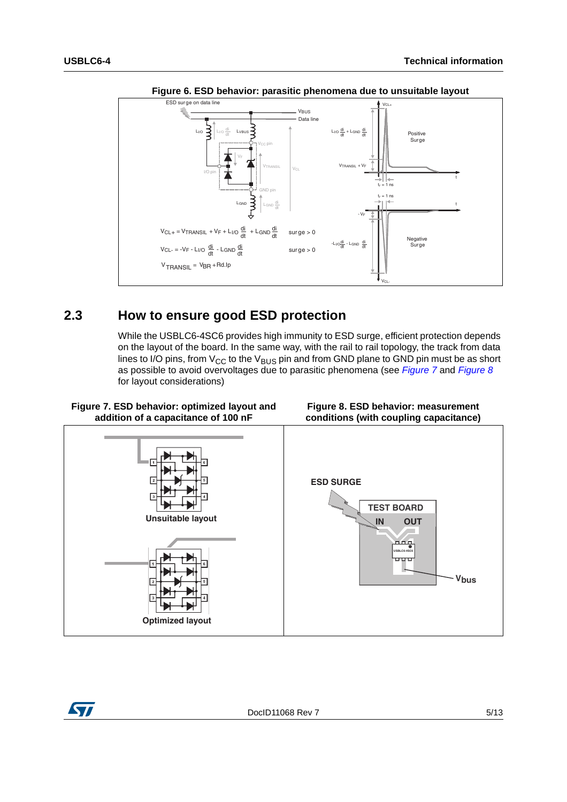

**Figure 6. ESD behavior: parasitic phenomena due to unsuitable layout**

### <span id="page-4-0"></span>**2.3 How to ensure good ESD protection**

<span id="page-4-2"></span>While the USBLC6-4SC6 provides high immunity to ESD surge, efficient protection depends on the layout of the board. In the same way, with the rail to rail topology, the track from data lines to I/O pins, from  $V_{CC}$  to the  $V_{BUS}$  pin and from GND plane to GND pin must be as short as possible to avoid overvoltages due to parasitic phenomena (see *[Figure 7](#page-4-1)* and *[Figure 8](#page-4-2)* for layout considerations)

<span id="page-4-1"></span>

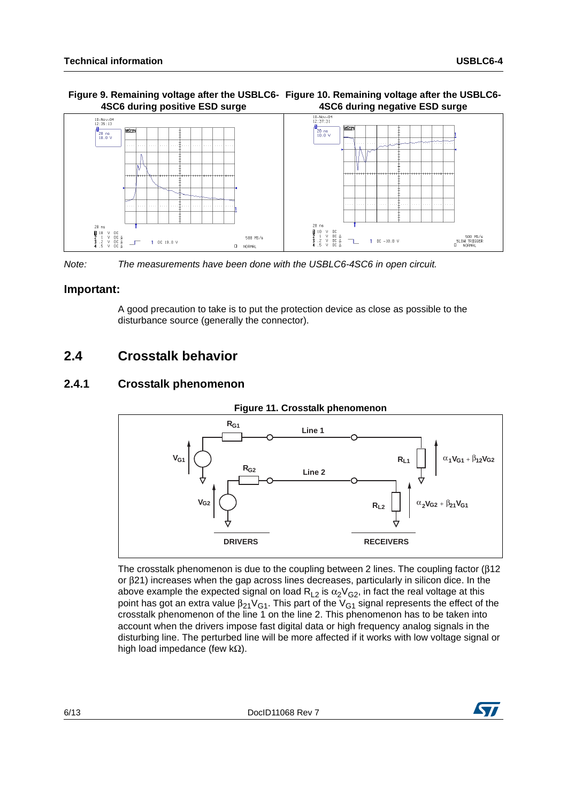#### Figure 9. Remaining voltage after the USBLC6- Figure 10. Remaining voltage after the USBLC6-**4SC6 during positive ESD surge 4SC6 during negative ESD surge**



*Note: The measurements have been done with the USBLC6-4SC6 in open circuit.*

#### **Important:**

A good precaution to take is to put the protection device as close as possible to the disturbance source (generally the connector).

### **2.4 Crosstalk behavior**

### **2.4.1 Crosstalk phenomenon**



#### The crosstalk phenomenon is due to the coupling between 2 lines. The coupling factor (β12 or β21) increases when the gap across lines decreases, particularly in silicon dice. In the above example the expected signal on load  $\mathsf{R}_{\mathsf{L2}}$  is  $\alpha_2 \mathsf{V}_{\mathsf{G2}}$ , in fact the real voltage at this point has got an extra value  $\beta_{21}$ V $_{G1}$ . This part of the V $_{G1}$  signal represents the effect of the crosstalk phenomenon of the line 1 on the line 2. This phenomenon has to be taken into account when the drivers impose fast digital data or high frequency analog signals in the disturbing line. The perturbed line will be more affected if it works with low voltage signal or high load impedance (few kΩ).

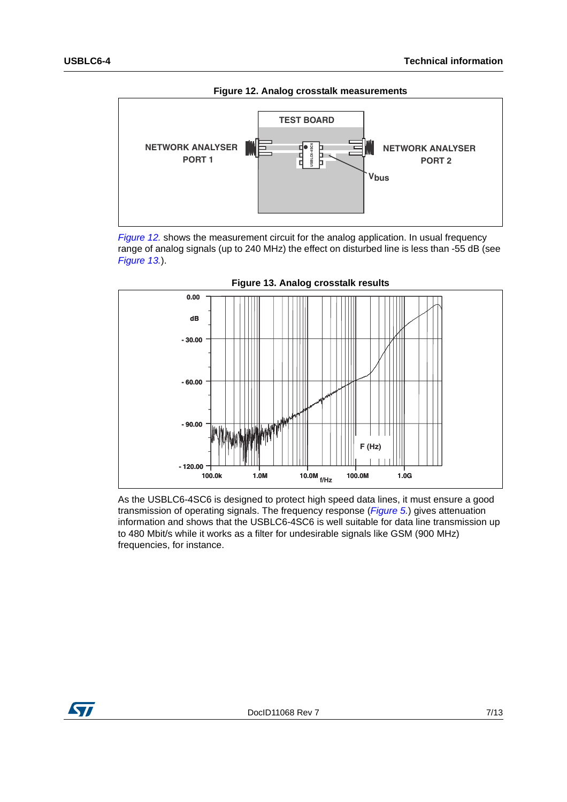<span id="page-6-0"></span>

*[Figure 12.](#page-6-0)* shows the measurement circuit for the analog application. In usual frequency range of analog signals (up to 240 MHz) the effect on disturbed line is less than -55 dB (see *[Figure 13.](#page-6-1)*).

<span id="page-6-1"></span>

As the USBLC6-4SC6 is designed to protect high speed data lines, it must ensure a good transmission of operating signals. The frequency response (*[Figure 5.](#page-2-0)*) gives attenuation information and shows that the USBLC6-4SC6 is well suitable for data line transmission up to 480 Mbit/s while it works as a filter for undesirable signals like GSM (900 MHz) frequencies, for instance.

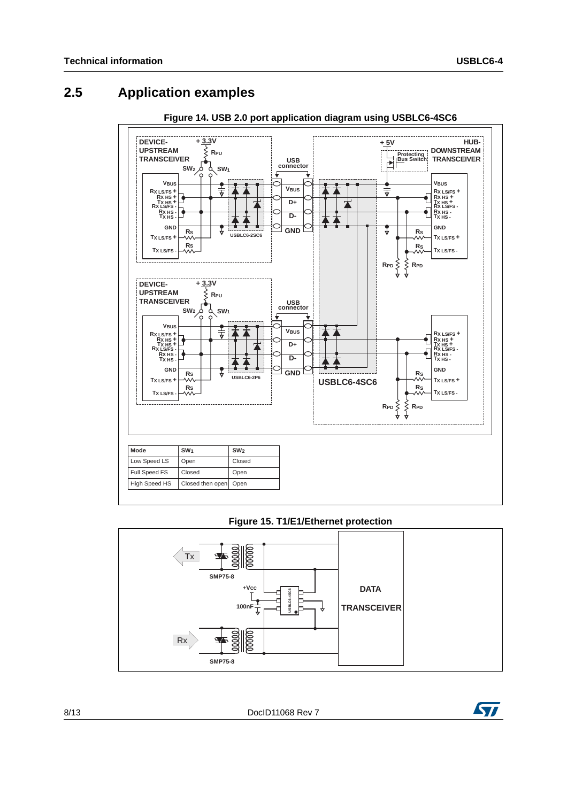### **2.5 Application examples**



**Figure 14. USB 2.0 port application diagram using USBLC6-4SC6**

#### **Figure 15. T1/E1/Ethernet protection**



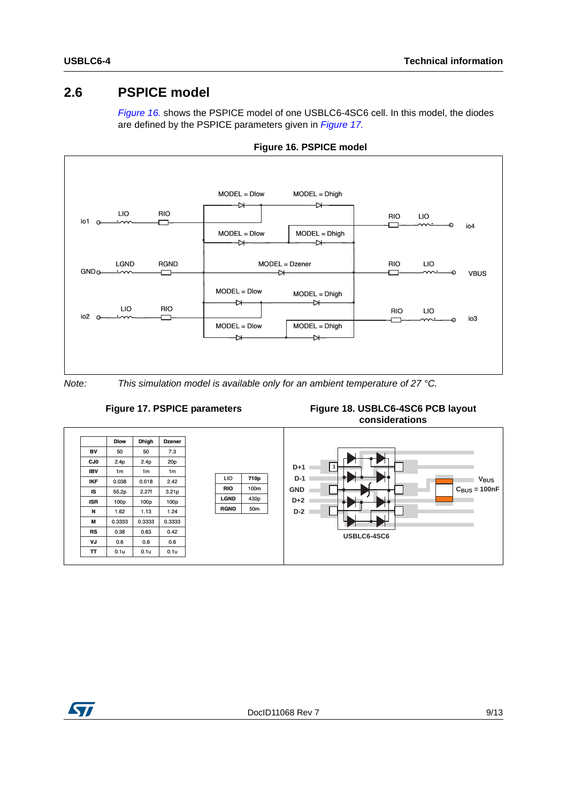### **2.6 PSPICE model**

<span id="page-8-0"></span>*[Figure 16.](#page-8-0)* shows the PSPICE model of one USBLC6-4SC6 cell. In this model, the diodes are defined by the PSPICE parameters given in *[Figure 17.](#page-8-1)*



**Figure 16. PSPICE model**

<span id="page-8-1"></span>*Note: This simulation model is available only for an ambient temperature of 27 °C.*



**Figure 18. USBLC6-4SC6 PCB layout considerations**



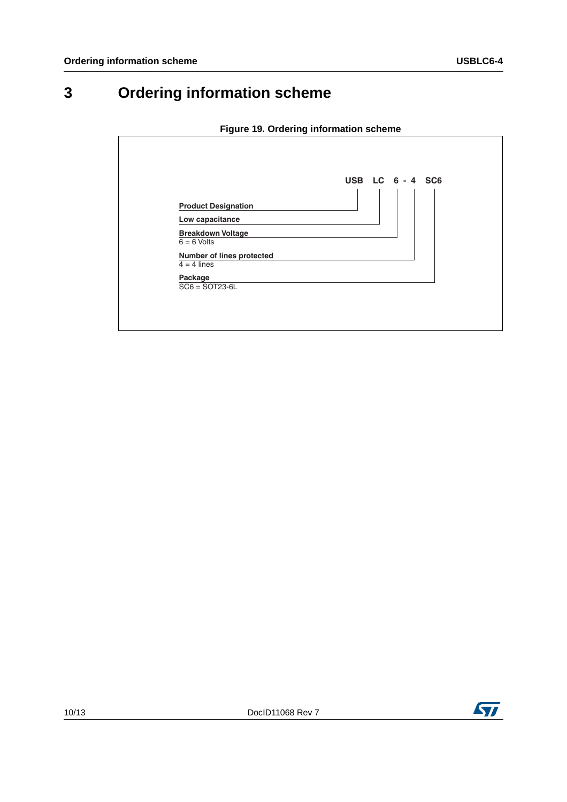# **3 Ordering information scheme**

|  | Figure 19. Ordering information scheme |  |
|--|----------------------------------------|--|

|                                            | USB LC 6 - 4 SC6 |
|--------------------------------------------|------------------|
| <b>Product Designation</b>                 |                  |
| Low capacitance                            |                  |
| <b>Breakdown Voltage</b><br>$6 = 6$ Volts  |                  |
| Number of lines protected<br>$4 = 4$ lines |                  |
| Package<br>$SC6 = SOT23-6L$                |                  |

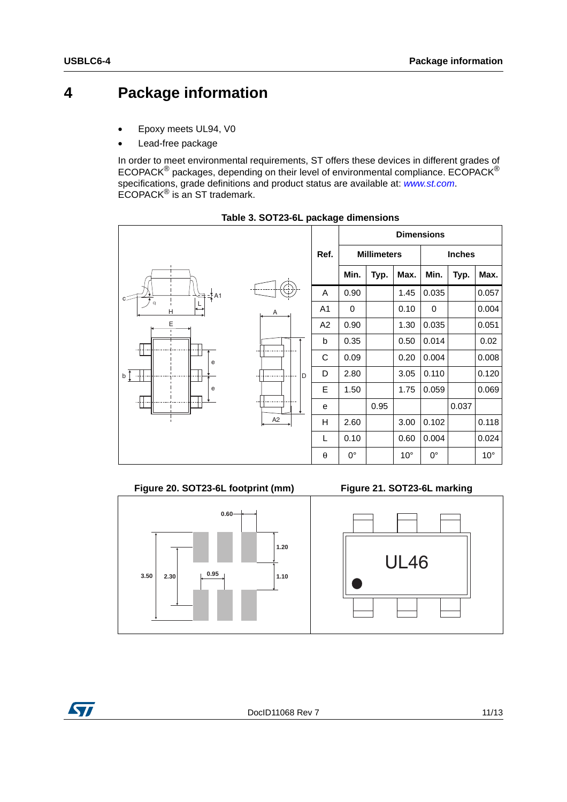## **4 Package information**

- Epoxy meets UL94, V0
- Lead-free package

In order to meet environmental requirements, ST offers these devices in different grades of ECOPACK® packages, depending on their level of environmental compliance. ECOPACK® specifications, grade definitions and product status are available at: *[www.st.com](http://www.st.com)*. ECOPACK® is an ST trademark.



**Table 3. SOT23-6L package dimensions**



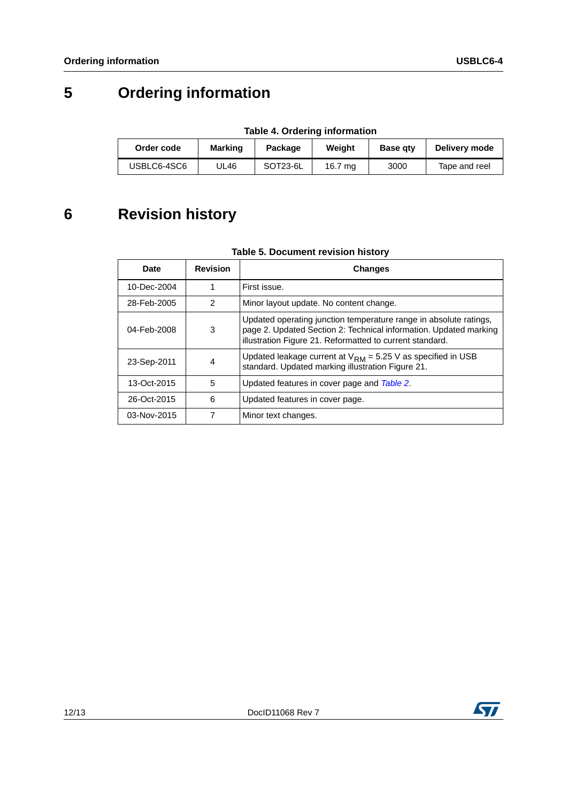## **5 Ordering information**

| Table 4. Ordering information |  |  |  |  |  |
|-------------------------------|--|--|--|--|--|
|                               |  |  |  |  |  |

| Order code  | <b>Marking</b> | Package  | Weight  | <b>Base gtv</b> | Delivery mode |
|-------------|----------------|----------|---------|-----------------|---------------|
| USBLC6-4SC6 | UL46           | SOT23-6L | 16.7 mg | 3000            | Tape and reel |

## **6 Revision history**

#### **Table 5. Document revision history**

| Date            | <b>Revision</b> | <b>Changes</b>                                                                                                                                                                                     |
|-----------------|-----------------|----------------------------------------------------------------------------------------------------------------------------------------------------------------------------------------------------|
| 10-Dec-2004     |                 | First issue.                                                                                                                                                                                       |
| 28-Feb-2005     | $\overline{2}$  | Minor layout update. No content change.                                                                                                                                                            |
| 04-Feb-2008     | 3               | Updated operating junction temperature range in absolute ratings,<br>page 2. Updated Section 2: Technical information. Updated marking<br>illustration Figure 21. Reformatted to current standard. |
| 23-Sep-2011     | 4               | Updated leakage current at $V_{RM}$ = 5.25 V as specified in USB<br>standard. Updated marking illustration Figure 21.                                                                              |
| $13 - Oct-2015$ | 5               | Updated features in cover page and Table 2.                                                                                                                                                        |
| 26-Oct-2015     | 6               | Updated features in cover page.                                                                                                                                                                    |
| 03-Nov-2015     | 7               | Minor text changes.                                                                                                                                                                                |